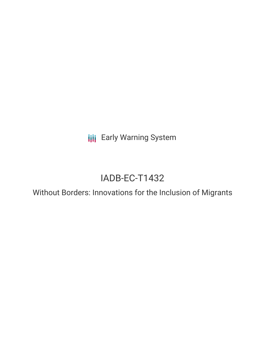**III** Early Warning System

# IADB-EC-T1432

Without Borders: Innovations for the Inclusion of Migrants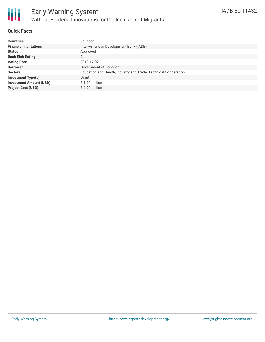

### **Quick Facts**

| <b>Countries</b>               | Ecuador                                                         |
|--------------------------------|-----------------------------------------------------------------|
| <b>Financial Institutions</b>  | Inter-American Development Bank (IADB)                          |
| <b>Status</b>                  | Approved                                                        |
| <b>Bank Risk Rating</b>        | C.                                                              |
| <b>Voting Date</b>             | 2019-12-02                                                      |
| <b>Borrower</b>                | Government of Ecuador                                           |
| <b>Sectors</b>                 | Education and Health, Industry and Trade, Technical Cooperation |
| <b>Investment Type(s)</b>      | Grant                                                           |
| <b>Investment Amount (USD)</b> | \$1.00 million                                                  |
| <b>Project Cost (USD)</b>      | \$2.00 million                                                  |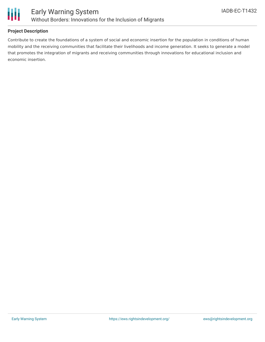

## **Project Description**

Contribute to create the foundations of a system of social and economic insertion for the population in conditions of human mobility and the receiving communities that facilitate their livelihoods and income generation. It seeks to generate a model that promotes the integration of migrants and receiving communities through innovations for educational inclusion and economic insertion.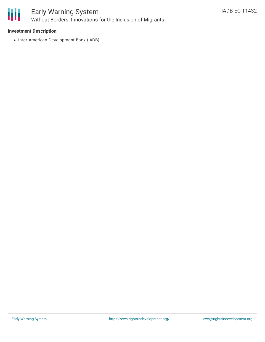

# Early Warning System Without Borders: Innovations for the Inclusion of Migrants

### **Investment Description**

• Inter-American Development Bank (IADB)